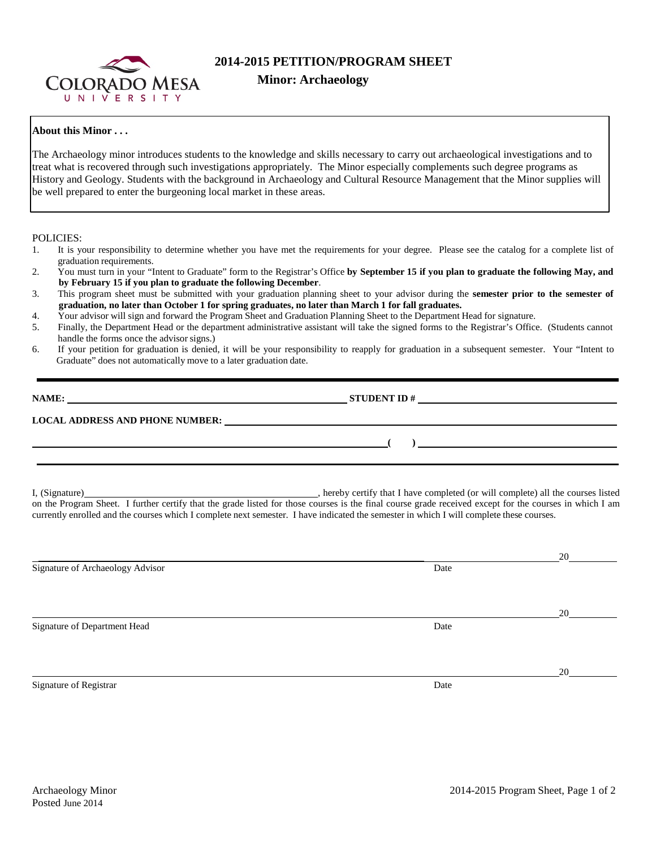

## **2014-2015 PETITION/PROGRAM SHEET**

## **Minor: Archaeology**

## **About this Minor . . .**

The Archaeology minor introduces students to the knowledge and skills necessary to carry out archaeological investigations and to treat what is recovered through such investigations appropriately. The Minor especially complements such degree programs as History and Geology. Students with the background in Archaeology and Cultural Resource Management that the Minor supplies will be well prepared to enter the burgeoning local market in these areas.

POLICIES:

- 1. It is your responsibility to determine whether you have met the requirements for your degree. Please see the catalog for a complete list of graduation requirements.
- 2. You must turn in your "Intent to Graduate" form to the Registrar's Office **by September 15 if you plan to graduate the following May, and by February 15 if you plan to graduate the following December**.
- 3. This program sheet must be submitted with your graduation planning sheet to your advisor during the **semester prior to the semester of graduation, no later than October 1 for spring graduates, no later than March 1 for fall graduates.**
- 4. Your advisor will sign and forward the Program Sheet and Graduation Planning Sheet to the Department Head for signature.
- 5. Finally, the Department Head or the department administrative assistant will take the signed forms to the Registrar's Office. (Students cannot handle the forms once the advisor signs.)
- 6. If your petition for graduation is denied, it will be your responsibility to reapply for graduation in a subsequent semester. Your "Intent to Graduate" does not automatically move to a later graduation date.

| NAME:                                  | <b>STUDENT ID#</b> |  |
|----------------------------------------|--------------------|--|
| <b>LOCAL ADDRESS AND PHONE NUMBER:</b> |                    |  |
|                                        |                    |  |

I, (Signature) **Source** and the completed (or will completed (or will complete) all the courses listed on the Program Sheet. I further certify that the grade listed for those courses is the final course grade received except for the courses in which I am currently enrolled and the courses which I complete next semester. I have indicated the semester in which I will complete these courses.

|                                  |      | 20 |
|----------------------------------|------|----|
| Signature of Archaeology Advisor | Date |    |
|                                  |      |    |
|                                  |      | 20 |
| Signature of Department Head     | Date |    |
|                                  |      |    |
|                                  |      | 20 |
| Signature of Registrar           | Date |    |
|                                  |      |    |